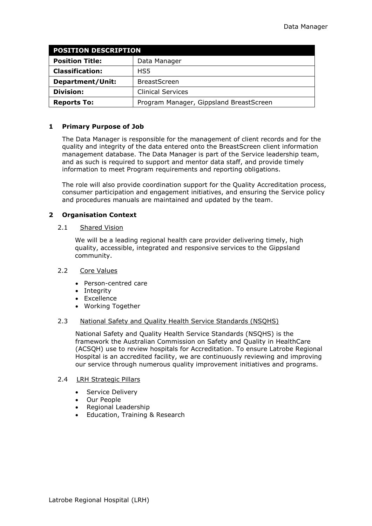| <b>POSITION DESCRIPTION</b> |                                         |
|-----------------------------|-----------------------------------------|
| <b>Position Title:</b>      | Data Manager                            |
| <b>Classification:</b>      | HS5                                     |
| Department/Unit:            | <b>BreastScreen</b>                     |
| <b>Division:</b>            | <b>Clinical Services</b>                |
| <b>Reports To:</b>          | Program Manager, Gippsland BreastScreen |

## **1 Primary Purpose of Job**

The Data Manager is responsible for the management of client records and for the quality and integrity of the data entered onto the BreastScreen client information management database. The Data Manager is part of the Service leadership team, and as such is required to support and mentor data staff, and provide timely information to meet Program requirements and reporting obligations.

The role will also provide coordination support for the Quality Accreditation process, consumer participation and engagement initiatives, and ensuring the Service policy and procedures manuals are maintained and updated by the team.

## **2 Organisation Context**

#### 2.1 Shared Vision

We will be a leading regional health care provider delivering timely, high quality, accessible, integrated and responsive services to the Gippsland community.

### 2.2 Core Values

- Person-centred care
- Integrity
- Excellence
- Working Together

### 2.3 National Safety and Quality Health Service Standards (NSQHS)

National Safety and Quality Health Service Standards (NSQHS) is the framework the Australian Commission on Safety and Quality in HealthCare (ACSQH) use to review hospitals for Accreditation. To ensure Latrobe Regional Hospital is an accredited facility, we are continuously reviewing and improving our service through numerous quality improvement initiatives and programs.

### 2.4 **LRH Strategic Pillars**

- Service Delivery
- Our People
- Regional Leadership
- Education, Training & Research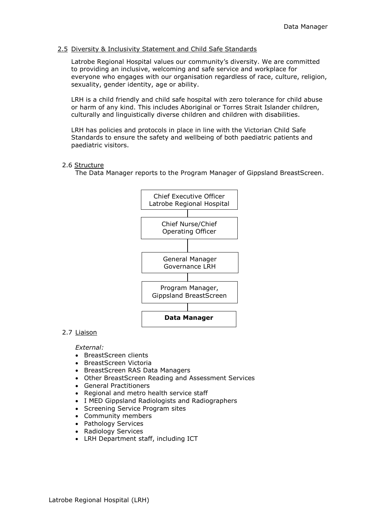## 2.5 Diversity & Inclusivity Statement and Child Safe Standards

Latrobe Regional Hospital values our community's diversity. We are committed to providing an inclusive, welcoming and safe service and workplace for everyone who engages with our organisation regardless of race, culture, religion, sexuality, gender identity, age or ability.

LRH is a child friendly and child safe hospital with zero tolerance for child abuse or harm of any kind. This includes Aboriginal or Torres Strait Islander children, culturally and linguistically diverse children and children with disabilities.

LRH has policies and protocols in place in line with the Victorian Child Safe Standards to ensure the safety and wellbeing of both paediatric patients and paediatric visitors.

## 2.6 Structure

The Data Manager reports to the Program Manager of Gippsland BreastScreen.



## 2.7 Liaison

### *External:*

- BreastScreen clients
- BreastScreen Victoria
- BreastScreen RAS Data Managers
- Other BreastScreen Reading and Assessment Services
- General Practitioners
- Regional and metro health service staff
- I MED Gippsland Radiologists and Radiographers
- Screening Service Program sites
- Community members
- Pathology Services
- Radiology Services
- LRH Department staff, including ICT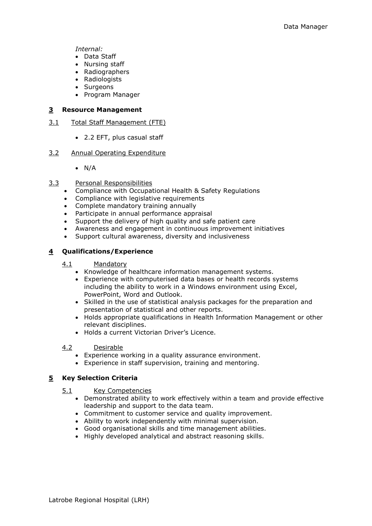*Internal:* 

- Data Staff
- Nursing staff
- Radiographers
- Radiologists
- Surgeons
- Program Manager

### **3 Resource Management**

- 3.1 Total Staff Management (FTE)
	- 2.2 EFT, plus casual staff
- 3.2 Annual Operating Expenditure
	- $\bullet$  N/A
- 3.3 Personal Responsibilities
	- Compliance with Occupational Health & Safety Regulations
	- Compliance with legislative requirements
	- Complete mandatory training annually
	- Participate in annual performance appraisal
	- Support the delivery of high quality and safe patient care
	- Awareness and engagement in continuous improvement initiatives
	- Support cultural awareness, diversity and inclusiveness

## **4 Qualifications/Experience**

### 4.1 Mandatory

- Knowledge of healthcare information management systems.
- Experience with computerised data bases or health records systems including the ability to work in a Windows environment using Excel, PowerPoint, Word and Outlook.
- Skilled in the use of statistical analysis packages for the preparation and presentation of statistical and other reports.
- Holds appropriate qualifications in Health Information Management or other relevant disciplines.
- Holds a current Victorian Driver's Licence.

### 4.2 Desirable

- Experience working in a quality assurance environment.
- Experience in staff supervision, training and mentoring.

## **5 Key Selection Criteria**

- 5.1 Key Competencies
	- Demonstrated ability to work effectively within a team and provide effective leadership and support to the data team.
	- Commitment to customer service and quality improvement.
	- Ability to work independently with minimal supervision.
	- Good organisational skills and time management abilities.
	- Highly developed analytical and abstract reasoning skills.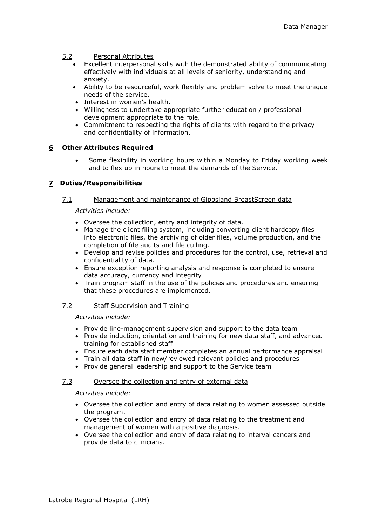### 5.2 Personal Attributes

- Excellent interpersonal skills with the demonstrated ability of communicating effectively with individuals at all levels of seniority, understanding and anxiety.
- Ability to be resourceful, work flexibly and problem solve to meet the unique needs of the service.
- Interest in women's health.
- Willingness to undertake appropriate further education / professional development appropriate to the role.
- Commitment to respecting the rights of clients with regard to the privacy and confidentiality of information.

## **6 Other Attributes Required**

 Some flexibility in working hours within a Monday to Friday working week and to flex up in hours to meet the demands of the Service.

## **7 Duties/Responsibilities**

### 7.1 Management and maintenance of Gippsland BreastScreen data

### *Activities include:*

- Oversee the collection, entry and integrity of data.
- Manage the client filing system, including converting client hardcopy files into electronic files, the archiving of older files, volume production, and the completion of file audits and file culling.
- Develop and revise policies and procedures for the control, use, retrieval and confidentiality of data.
- Ensure exception reporting analysis and response is completed to ensure data accuracy, currency and integrity
- Train program staff in the use of the policies and procedures and ensuring that these procedures are implemented.

### 7.2 Staff Supervision and Training

### *Activities include:*

- Provide line-management supervision and support to the data team
- Provide induction, orientation and training for new data staff, and advanced training for established staff
- Ensure each data staff member completes an annual performance appraisal
- Train all data staff in new/reviewed relevant policies and procedures
- Provide general leadership and support to the Service team

### 7.3 Oversee the collection and entry of external data

# *Activities include:*

- Oversee the collection and entry of data relating to women assessed outside the program.
- Oversee the collection and entry of data relating to the treatment and management of women with a positive diagnosis.
- Oversee the collection and entry of data relating to interval cancers and provide data to clinicians.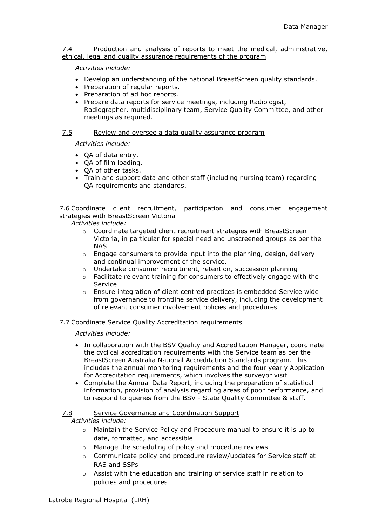### 7.4 Production and analysis of reports to meet the medical, administrative, ethical, legal and quality assurance requirements of the program

## *Activities include:*

- Develop an understanding of the national BreastScreen quality standards.
- Preparation of regular reports.
- Preparation of ad hoc reports.
- Prepare data reports for service meetings, including Radiologist, Radiographer, multidisciplinary team, Service Quality Committee, and other meetings as required.

## 7.5 Review and oversee a data quality assurance program

*Activities include:*

- OA of data entry.
- OA of film loading.
- OA of other tasks.
- Train and support data and other staff (including nursing team) regarding QA requirements and standards.

## 7.6 Coordinate client recruitment, participation and consumer engagement strategies with BreastScreen Victoria

*Activities include:*

- $\circ$  Coordinate targeted client recruitment strategies with BreastScreen Victoria, in particular for special need and unscreened groups as per the NAS
- $\circ$  Engage consumers to provide input into the planning, design, delivery and continual improvement of the service.
- o Undertake consumer recruitment, retention, succession planning
- $\circ$  Facilitate relevant training for consumers to effectively engage with the Service
- $\circ$  Ensure integration of client centred practices is embedded Service wide from governance to frontline service delivery, including the development of relevant consumer involvement policies and procedures

## 7.7 Coordinate Service Quality Accreditation requirements

### *Activities include:*

- In collaboration with the BSV Quality and Accreditation Manager, coordinate the cyclical accreditation requirements with the Service team as per the BreastScreen Australia National Accreditation Standards program. This includes the annual monitoring requirements and the four yearly Application for Accreditation requirements, which involves the surveyor visit
- Complete the Annual Data Report, including the preparation of statistical information, provision of analysis regarding areas of poor performance, and to respond to queries from the BSV - State Quality Committee & staff.

### 7.8 Service Governance and Coordination Support

*Activities include:*

- $\circ$  Maintain the Service Policy and Procedure manual to ensure it is up to date, formatted, and accessible
- o Manage the scheduling of policy and procedure reviews
- $\circ$  Communicate policy and procedure review/updates for Service staff at RAS and SSPs
- $\circ$  Assist with the education and training of service staff in relation to policies and procedures